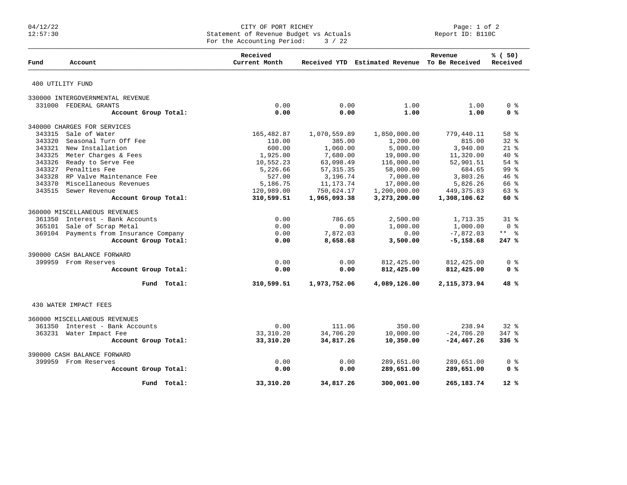## 04/12/22 CITY OF PORT RICHEY Page: 1 of 2 12:57:30 Statement of Revenue Budget vs Actuals Report ID: B110C For the Accounting Period:  $3 / 22$

| Fund   | Account                                | Received<br>Current Month |              | Received YTD Estimated Revenue To Be Received | Revenue        | % (50)<br>Received |
|--------|----------------------------------------|---------------------------|--------------|-----------------------------------------------|----------------|--------------------|
|        | 400 UTILITY FUND                       |                           |              |                                               |                |                    |
|        | 330000 INTERGOVERNMENTAL REVENUE       |                           |              |                                               |                |                    |
|        | 331000 FEDERAL GRANTS                  | 0.00                      | 0.00         | 1.00                                          | 1.00           | 0 <sup>8</sup>     |
|        | Account Group Total:                   | 0.00                      | 0.00         | 1.00                                          | 1.00           | 0 <sup>8</sup>     |
|        | 340000 CHARGES FOR SERVICES            |                           |              |                                               |                |                    |
| 343315 | Sale of Water                          | 165,482.87                | 1,070,559.89 | 1,850,000.00                                  | 779,440.11     | 58 %               |
| 343320 | Seasonal Turn Off Fee                  | 110.00                    | 385.00       | 1,200.00                                      | 815.00         | 328                |
|        | 343321 New Installation                | 600.00                    | 1,060.00     | 5,000.00                                      | 3,940.00       | $21$ $%$           |
| 343325 | Meter Charges & Fees                   | 1,925.00                  | 7,680.00     | 19,000.00                                     | 11,320.00      | $40*$              |
|        | 343326 Ready to Serve Fee              | 10,552.23                 | 63,098.49    | 116,000.00                                    | 52,901.51      | 54 %               |
|        | 343327 Penalties Fee                   | 5,226.66                  | 57, 315.35   | 58,000.00                                     | 684.65         | 99 <sup>8</sup>    |
|        | 343328 RP Valve Maintenance Fee        | 527.00                    | 3,196.74     | 7,000.00                                      | 3,803.26       | 46%                |
| 343370 | Miscellaneous Revenues                 | 5,186.75                  | 11, 173. 74  | 17,000.00                                     | 5,826.26       | 66 %               |
|        | 343515 Sewer Revenue                   | 120,989.00                | 750,624.17   | 1,200,000.00                                  | 449, 375.83    | 63 %               |
|        | Account Group Total:                   | 310,599.51                | 1,965,093.38 | 3,273,200.00                                  | 1,308,106.62   | 60 %               |
|        | 360000 MISCELLANEOUS REVENUES          |                           |              |                                               |                |                    |
| 361350 | Interest - Bank Accounts               | 0.00                      | 786.65       | 2,500.00                                      | 1,713.35       | $31*$              |
| 365101 | Sale of Scrap Metal                    | 0.00                      | 0.00         | 1,000.00                                      | 1,000.00       | 0 %                |
|        | 369104 Payments from Insurance Company | 0.00                      | 7,872.03     | 0.00                                          | $-7,872.03$    | ** %               |
|        | Account Group Total:                   | 0.00                      | 8,658.68     | 3,500.00                                      | $-5,158.68$    | 247%               |
|        | 390000 CASH BALANCE FORWARD            |                           |              |                                               |                |                    |
|        | 399959 From Reserves                   | 0.00                      | 0.00         | 812,425.00                                    | 812,425.00     | 0 <sup>8</sup>     |
|        | Account Group Total:                   | 0.00                      | 0.00         | 812,425.00                                    | 812,425.00     | 0 <sup>8</sup>     |
|        | Fund Total:                            | 310,599.51                | 1,973,752.06 | 4,089,126.00                                  | 2, 115, 373.94 | 48%                |
|        | 430 WATER IMPACT FEES                  |                           |              |                                               |                |                    |
|        | 360000 MISCELLANEOUS REVENUES          |                           |              |                                               |                |                    |
| 361350 | Interest - Bank Accounts               | 0.00                      | 111.06       | 350.00                                        | 238.94         | 32%                |
|        | 363231 Water Impact Fee                | 33, 310.20                | 34,706.20    | 10,000.00                                     | $-24,706.20$   | 347 %              |
|        | Account Group Total:                   | 33,310.20                 | 34,817.26    | 10,350.00                                     | $-24, 467.26$  | 336%               |
|        |                                        |                           |              |                                               |                |                    |
|        | 390000 CASH BALANCE FORWARD            |                           |              |                                               |                |                    |
|        | 399959 From Reserves                   | 0.00                      | 0.00         | 289,651.00                                    | 289,651.00     | 0 <sup>8</sup>     |
|        | Account Group Total:                   | 0.00                      | 0.00         | 289,651.00                                    | 289,651.00     | 0 <sup>8</sup>     |
|        | Fund Total:                            | 33,310.20                 | 34,817.26    | 300,001.00                                    | 265, 183. 74   | $12*$              |